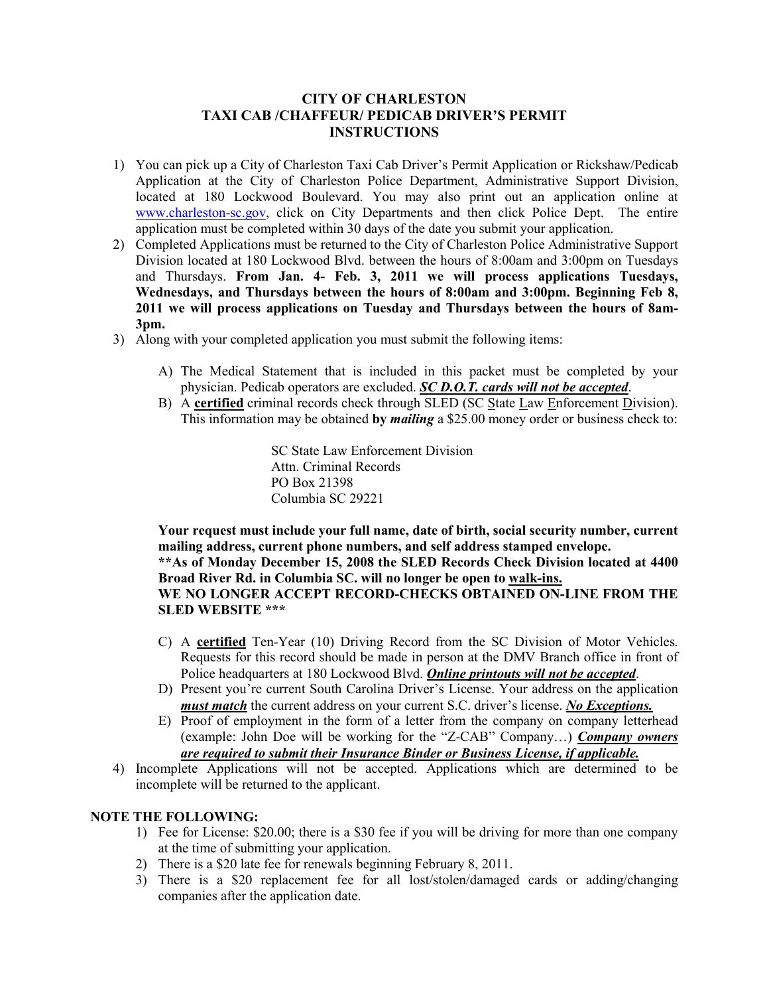#### **CITY OF CHARLESTON TAXI CAB /CHAFFEUR/ PEDICAB DRIVER'S PERMIT INSTRUCTIONS**

- 1) You can pick up a City of Charleston Taxi Cab Driver's Permit Application or Rickshaw/Pedicab Application at the City of Charleston Police Department, Administrative Support Division, located at 180 Lockwood Boulevard. You may also print out an application online at www.charleston-sc.gov, click on City Departments and then click Police Dept. The entire application must be completed within 30 days of the date you submit your application.
- 2) Completed Applications must be returned to the City of Charleston Police Administrative Support Division located at 180 Lockwood Blvd. between the hours of 8:00am and 3:00pm on Tuesdays and Thursdays. **From Jan. 4- Feb. 3, 2011 we will process applications Tuesdays, Wednesdays, and Thursdays between the hours of 8:00am and 3:00pm. Beginning Feb 8, 2011 we will process applications on Tuesday and Thursdays between the hours of 8am-3pm.**
- 3) Along with your completed application you must submit the following items:
	- A) The Medical Statement that is included in this packet must be completed by your physician. Pedicab operators are excluded. *SC D.O.T. cards will not be accepted*.
	- B) A **certified** criminal records check through SLED (SC State Law Enforcement Division). This information may be obtained **by** *mailing* a \$25.00 money order or business check to:

 SC State Law Enforcement Division Attn. Criminal Records PO Box 21398 Columbia SC 29221

**Your request must include your full name, date of birth, social security number, current mailing address, current phone numbers, and self address stamped envelope. \*\*As of Monday December 15, 2008 the SLED Records Check Division located at 4400 Broad River Rd. in Columbia SC. will no longer be open to walk-ins. WE NO LONGER ACCEPT RECORD-CHECKS OBTAINED ON-LINE FROM THE SLED WEBSITE \*\*\*** 

- C) A **certified** Ten-Year (10) Driving Record from the SC Division of Motor Vehicles. Requests for this record should be made in person at the DMV Branch office in front of Police headquarters at 180 Lockwood Blvd. *Online printouts will not be accepted*.
- D) Present you're current South Carolina Driver's License. Your address on the application *must match* the current address on your current S.C. driver's license. *No Exceptions.*
- E) Proof of employment in the form of a letter from the company on company letterhead (example: John Doe will be working for the "Z-CAB" Company…) *Company owners are required to submit their Insurance Binder or Business License, if applicable.*
- 4) Incomplete Applications will not be accepted. Applications which are determined to be incomplete will be returned to the applicant.

#### **NOTE THE FOLLOWING:**

- 1) Fee for License: \$20.00; there is a \$30 fee if you will be driving for more than one company at the time of submitting your application.
- 2) There is a \$20 late fee for renewals beginning February 8, 2011.
- 3) There is a \$20 replacement fee for all lost/stolen/damaged cards or adding/changing companies after the application date.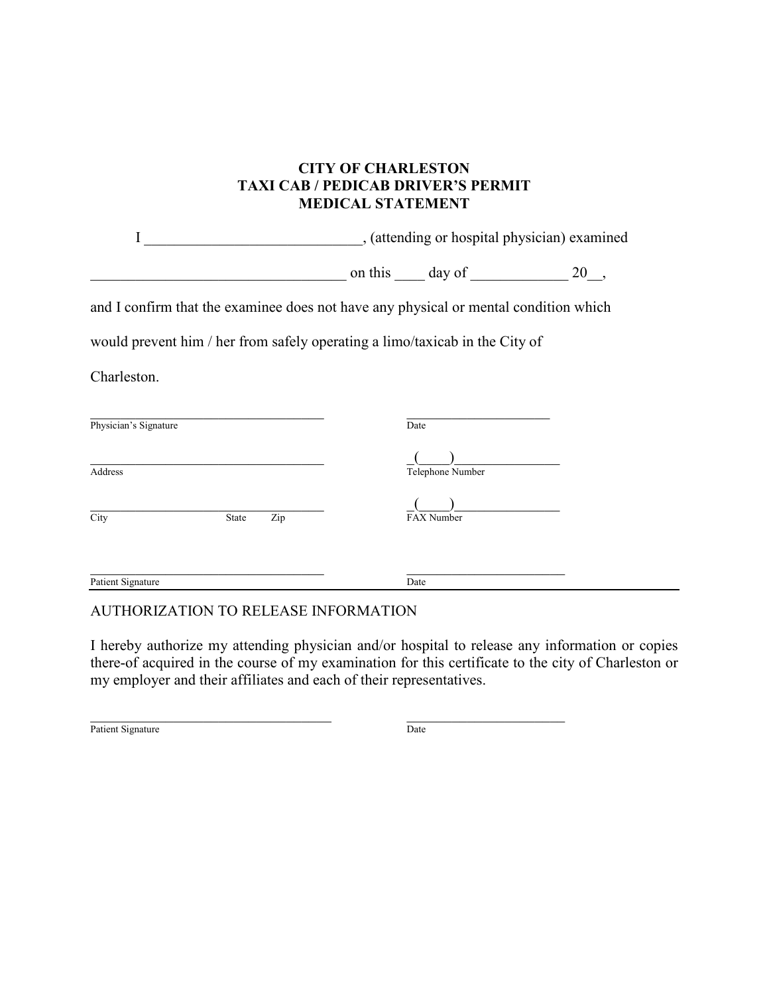## **CITY OF CHARLESTON TAXI CAB / PEDICAB DRIVER'S PERMIT MEDICAL STATEMENT**

I \_\_\_\_\_\_\_\_\_\_\_\_\_\_\_\_\_\_\_\_\_\_\_\_\_\_\_\_\_, (attending or hospital physician) examined

 $\Box$  on this  $\Box$  day of  $\Box$  20,

and I confirm that the examinee does not have any physical or mental condition which

would prevent him / her from safely operating a limo/taxicab in the City of

Charleston.

|       |     | Date             |      |
|-------|-----|------------------|------|
|       |     | Telephone Number |      |
| State | Zip | FAX Number       |      |
|       |     |                  |      |
|       |     |                  | Date |

### AUTHORIZATION TO RELEASE INFORMATION

I hereby authorize my attending physician and/or hospital to release any information or copies there-of acquired in the course of my examination for this certificate to the city of Charleston or my employer and their affiliates and each of their representatives.

 $\_$  , and the set of the set of the set of the set of the set of the set of the set of the set of the set of the set of the set of the set of the set of the set of the set of the set of the set of the set of the set of th Patient Signature Date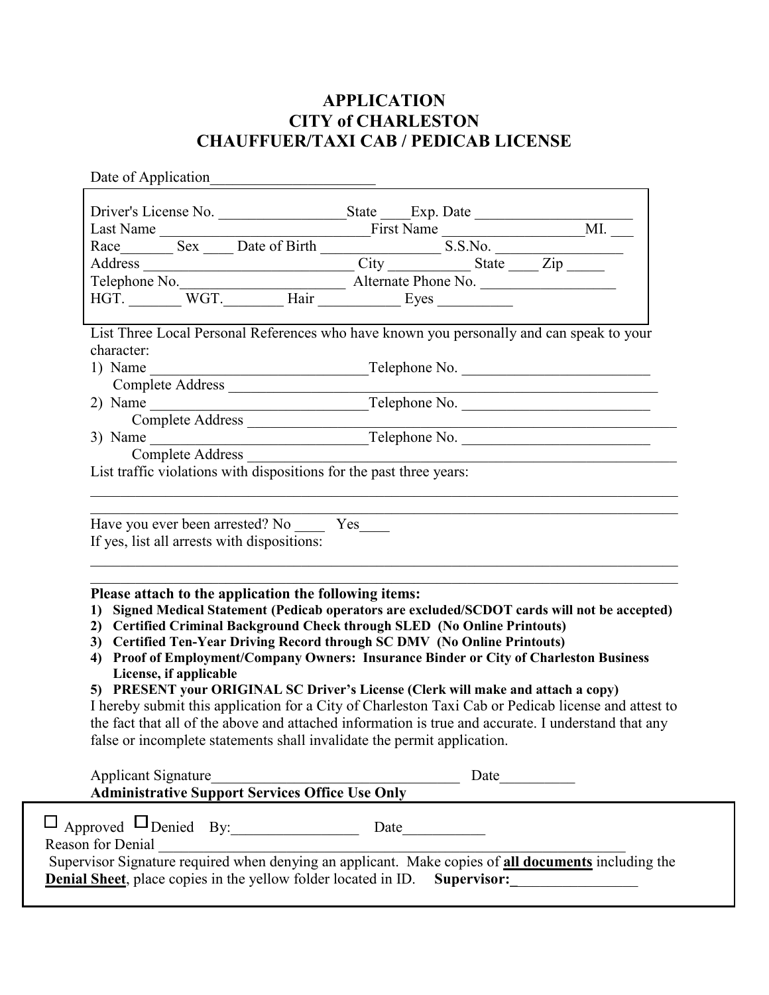# **APPLICATION CITY of CHARLESTON CHAUFFUER/TAXI CAB / PEDICAB LICENSE**

Date of Application\_\_\_\_\_\_\_\_\_\_\_\_\_\_\_\_\_\_\_\_\_\_ Driver's License No. \_\_\_\_\_\_\_\_\_\_\_\_\_\_\_\_\_\_\_\_\_State \_\_\_\_\_Exp. Date \_\_\_\_\_\_\_\_\_\_\_\_\_\_\_\_\_ Last Name \_\_\_\_\_\_\_\_\_\_\_\_\_\_\_\_\_\_\_\_\_\_\_\_\_\_\_\_First Name \_\_\_\_\_\_\_\_\_\_\_\_\_\_\_\_\_\_\_MI. \_\_\_ Race Sex Birth Sex Birth Sex Birth S.S.No. Address \_\_\_\_\_\_\_\_\_\_\_\_\_\_\_\_\_\_\_\_\_\_\_\_\_\_\_\_ City \_\_\_\_\_\_\_\_\_\_\_ State \_\_\_\_ Zip \_\_\_\_\_ Telephone No.\_\_\_\_\_\_\_\_\_\_\_\_\_\_\_\_\_\_\_\_\_\_ Alternate Phone No. \_\_\_\_\_\_\_\_\_\_\_\_\_\_\_\_\_\_ HGT. \_\_\_\_\_\_\_\_ WGT. \_\_\_\_\_\_\_\_\_ Hair \_\_\_\_\_\_\_\_\_\_\_\_ Eyes \_\_\_\_\_\_\_\_\_\_\_\_\_ List Three Local Personal References who have known you personally and can speak to your character: 1) Name \_\_\_\_\_\_\_\_\_\_\_\_\_\_\_\_\_\_\_\_\_\_\_\_\_\_\_\_\_Telephone No. \_\_\_\_\_\_\_\_\_\_\_\_\_\_\_\_\_\_\_\_\_\_\_\_\_ Complete Address \_\_\_\_\_\_\_\_\_\_\_\_\_\_\_\_\_\_\_\_\_\_\_\_\_\_\_\_\_\_\_\_\_\_\_\_\_\_\_\_\_\_\_\_\_\_\_\_\_\_\_\_\_\_\_\_\_  $2)$  Name  $\frac{1}{\sqrt{2}}$  Name  $\frac{1}{\sqrt{2}}$  Name  $\frac{1}{\sqrt{2}}$   $\frac{1}{\sqrt{2}}$   $\frac{1}{\sqrt{2}}$   $\frac{1}{\sqrt{2}}$   $\frac{1}{\sqrt{2}}$   $\frac{1}{\sqrt{2}}$   $\frac{1}{\sqrt{2}}$   $\frac{1}{\sqrt{2}}$   $\frac{1}{\sqrt{2}}$   $\frac{1}{\sqrt{2}}$   $\frac{1}{\sqrt{2}}$   $\frac{1}{\sqrt{2}}$   $\frac{1}{\sqrt{2}}$   $\frac{1}{$ Complete Address 3) Name \_\_\_\_\_\_\_\_\_\_\_\_\_\_\_\_\_\_\_\_\_\_\_\_\_\_\_\_\_Telephone No. \_\_\_\_\_\_\_\_\_\_\_\_\_\_\_\_\_\_\_\_\_\_\_\_\_ Complete Address List traffic violations with dispositions for the past three years: \_\_\_\_\_\_\_\_\_\_\_\_\_\_\_\_\_\_\_\_\_\_\_\_\_\_\_\_\_\_\_\_\_\_\_\_\_\_\_\_\_\_\_\_\_\_\_\_\_\_\_\_\_\_\_\_\_\_\_\_\_\_\_\_\_\_\_\_\_\_\_\_\_\_\_\_\_\_  $\_$  , and the contribution of the contribution of  $\mathcal{L}_1$  , and  $\mathcal{L}_2$  , and  $\mathcal{L}_3$  , and  $\mathcal{L}_4$  , and  $\mathcal{L}_5$ Have you ever been arrested? No \_\_\_\_\_ Yes If yes, list all arrests with dispositions:  $\mathcal{L}_\mathcal{L} = \{ \mathcal{L}_\mathcal{L} = \{ \mathcal{L}_\mathcal{L} = \{ \mathcal{L}_\mathcal{L} = \{ \mathcal{L}_\mathcal{L} = \{ \mathcal{L}_\mathcal{L} = \{ \mathcal{L}_\mathcal{L} = \{ \mathcal{L}_\mathcal{L} = \{ \mathcal{L}_\mathcal{L} = \{ \mathcal{L}_\mathcal{L} = \{ \mathcal{L}_\mathcal{L} = \{ \mathcal{L}_\mathcal{L} = \{ \mathcal{L}_\mathcal{L} = \{ \mathcal{L}_\mathcal{L} = \{ \mathcal{L}_\mathcal{$  $\_$  , and the contribution of the contribution of  $\mathcal{L}_1$  , and  $\mathcal{L}_2$  , and  $\mathcal{L}_3$  , and  $\mathcal{L}_4$  , and  $\mathcal{L}_5$ **Please attach to the application the following items: 1) Signed Medical Statement (Pedicab operators are excluded/SCDOT cards will not be accepted) 2) Certified Criminal Background Check through SLED (No Online Printouts) 3) Certified Ten-Year Driving Record through SC DMV (No Online Printouts) 4) Proof of Employment/Company Owners: Insurance Binder or City of Charleston Business License, if applicable 5) PRESENT your ORIGINAL SC Driver's License (Clerk will make and attach a copy)**  I hereby submit this application for a City of Charleston Taxi Cab or Pedicab license and attest to the fact that all of the above and attached information is true and accurate. I understand that any false or incomplete statements shall invalidate the permit application. Applicant Signature\_\_\_\_\_\_\_\_\_\_\_\_\_\_\_\_\_\_\_\_\_\_\_\_\_\_\_\_\_\_\_\_\_ Date\_\_\_\_\_\_\_\_\_\_ **Administrative Support Services Office Use Only** 

 $\square$  Approved  $\square$  Denied By: Date Reason for Denial Supervisor Signature required when denying an applicant. Make copies of **all documents** including the **Denial Sheet**, place copies in the yellow folder located in ID. Supervisor: